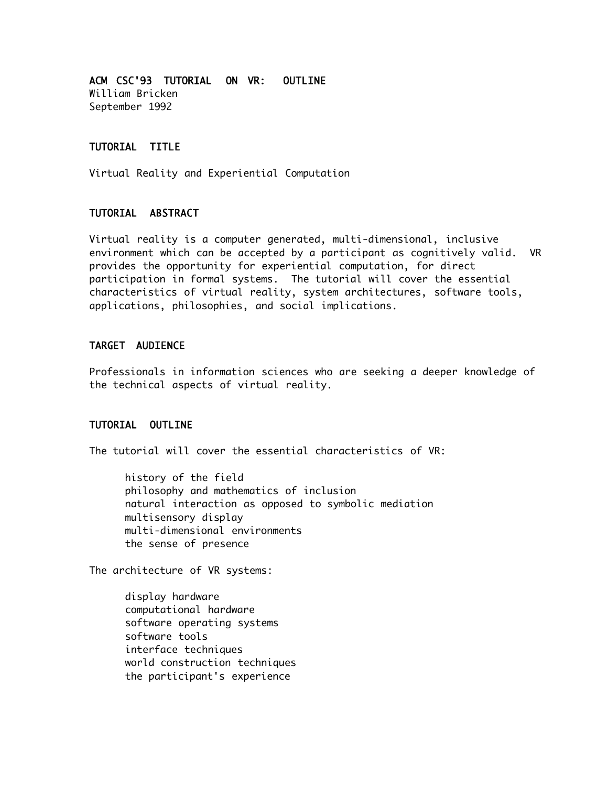ACM CSC'93 TUTORIAL ON VR: OUTLINE William Bricken September 1992

## TUTORIAL TITLE

Virtual Reality and Experiential Computation

## TUTORIAL ABSTRACT

Virtual reality is a computer generated, multi-dimensional, inclusive environment which can be accepted by a participant as cognitively valid. VR provides the opportunity for experiential computation, for direct participation in formal systems. The tutorial will cover the essential characteristics of virtual reality, system architectures, software tools, applications, philosophies, and social implications.

## TARGET AUDIENCE

Professionals in information sciences who are seeking a deeper knowledge of the technical aspects of virtual reality.

## TUTORIAL OUTLINE

The tutorial will cover the essential characteristics of VR:

history of the field philosophy and mathematics of inclusion natural interaction as opposed to symbolic mediation multisensory display multi-dimensional environments the sense of presence

The architecture of VR systems:

display hardware computational hardware software operating systems software tools interface techniques world construction techniques the participant's experience